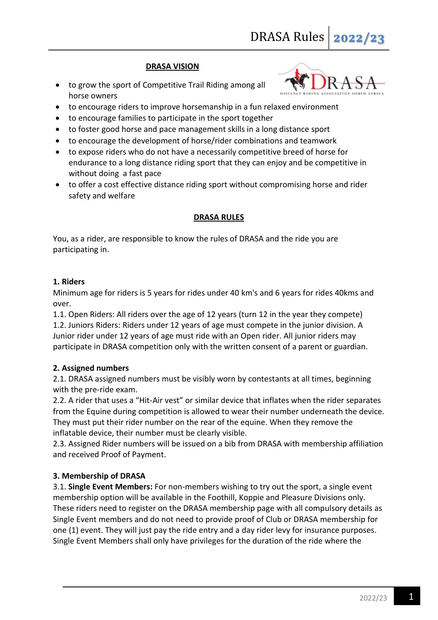# **DRASA VISION**

 to grow the sport of Competitive Trail Riding among all horse owners



- to encourage riders to improve horsemanship in a fun relaxed environment
- to encourage families to participate in the sport together
- to foster good horse and pace management skills in a long distance sport
- to encourage the development of horse/rider combinations and teamwork
- to expose riders who do not have a necessarily competitive breed of horse for endurance to a long distance riding sport that they can enjoy and be competitive in without doing a fast pace
- to offer a cost effective distance riding sport without compromising horse and rider safety and welfare

#### **DRASA RULES**

You, as a rider, are responsible to know the rules of DRASA and the ride you are participating in.

# **1. Riders**

Minimum age for riders is 5 years for rides under 40 km's and 6 years for rides 40kms and over.

1.1. Open Riders: All riders over the age of 12 years (turn 12 in the year they compete) 1.2. Juniors Riders: Riders under 12 years of age must compete in the junior division. A Junior rider under 12 years of age must ride with an Open rider. All junior riders may participate in DRASA competition only with the written consent of a parent or guardian.

# **2. Assigned numbers**

2.1. DRASA assigned numbers must be visibly worn by contestants at all times, beginning with the pre-ride exam.

2.2. A rider that uses a "Hit-Air vest" or similar device that inflates when the rider separates from the Equine during competition is allowed to wear their number underneath the device. They must put their rider number on the rear of the equine. When they remove the inflatable device, their number must be clearly visible.

2.3. Assigned Rider numbers will be issued on a bib from DRASA with membership affiliation and received Proof of Payment.

# **3. Membership of DRASA**

3.1. **Single Event Members:** For non-members wishing to try out the sport, a single event membership option will be available in the Foothill, Koppie and Pleasure Divisions only. These riders need to register on the DRASA membership page with all compulsory details as Single Event members and do not need to provide proof of Club or DRASA membership for one (1) event. They will just pay the ride entry and a day rider levy for insurance purposes. Single Event Members shall only have privileges for the duration of the ride where the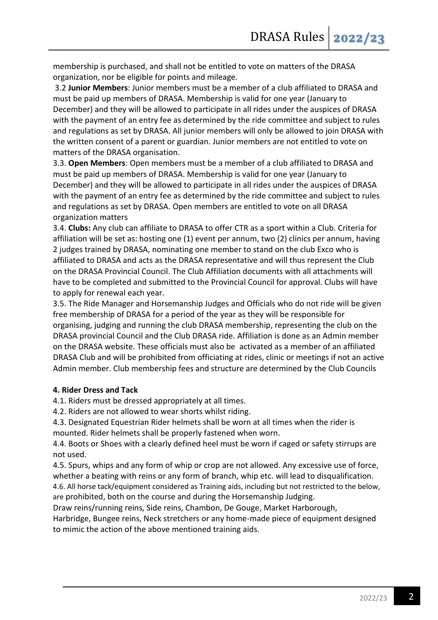membership is purchased, and shall not be entitled to vote on matters of the DRASA organization, nor be eligible for points and mileage.

3.2 **Junior Members**: Junior members must be a member of a club affiliated to DRASA and must be paid up members of DRASA. Membership is valid for one year (January to December) and they will be allowed to participate in all rides under the auspices of DRASA with the payment of an entry fee as determined by the ride committee and subject to rules and regulations as set by DRASA. All junior members will only be allowed to join DRASA with the written consent of a parent or guardian. Junior members are not entitled to vote on matters of the DRASA organisation.

3.3. **Open Members**: Open members must be a member of a club affiliated to DRASA and must be paid up members of DRASA. Membership is valid for one year (January to December) and they will be allowed to participate in all rides under the auspices of DRASA with the payment of an entry fee as determined by the ride committee and subject to rules and regulations as set by DRASA. Open members are entitled to vote on all DRASA organization matters

3.4. **Clubs:** Any club can affiliate to DRASA to offer CTR as a sport within a Club. Criteria for affiliation will be set as: hosting one (1) event per annum, two (2) clinics per annum, having 2 judges trained by DRASA, nominating one member to stand on the club Exco who is affiliated to DRASA and acts as the DRASA representative and will thus represent the Club on the DRASA Provincial Council. The Club Affiliation documents with all attachments will have to be completed and submitted to the Provincial Council for approval. Clubs will have to apply for renewal each year.

3.5. The Ride Manager and Horsemanship Judges and Officials who do not ride will be given free membership of DRASA for a period of the year as they will be responsible for organising, judging and running the club DRASA membership, representing the club on the DRASA provincial Council and the Club DRASA ride. Affiliation is done as an Admin member on the DRASA website. These officials must also be activated as a member of an affiliated DRASA Club and will be prohibited from officiating at rides, clinic or meetings if not an active Admin member. Club membership fees and structure are determined by the Club Councils

# **4. Rider Dress and Tack**

4.1. Riders must be dressed appropriately at all times.

4.2. Riders are not allowed to wear shorts whilst riding.

4.3. Designated Equestrian Rider helmets shall be worn at all times when the rider is mounted. Rider helmets shall be properly fastened when worn.

4.4. Boots or Shoes with a clearly defined heel must be worn if caged or safety stirrups are not used.

4.5. Spurs, whips and any form of whip or crop are not allowed. Any excessive use of force, whether a beating with reins or any form of branch, whip etc. will lead to disqualification. 4.6. All horse tack/equipment considered as Training aids, including but not restricted to the below,

are prohibited, both on the course and during the Horsemanship Judging. Draw reins/running reins, Side reins, Chambon, De Gouge, Market Harborough,

Harbridge, Bungee reins, Neck stretchers or any home-made piece of equipment designed to mimic the action of the above mentioned training aids.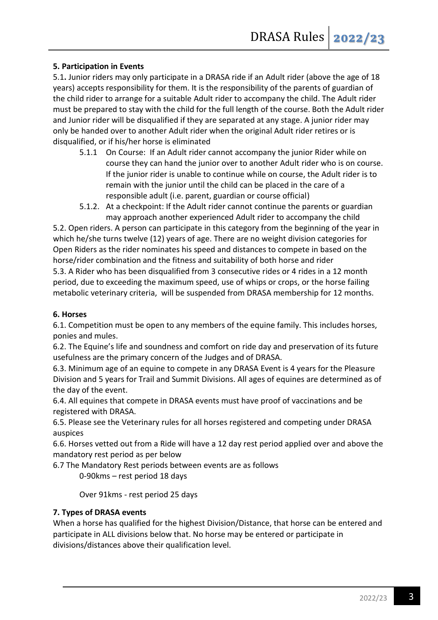# **5. Participation in Events**

5.1**.** Junior riders may only participate in a DRASA ride if an Adult rider (above the age of 18 years) accepts responsibility for them. It is the responsibility of the parents of guardian of the child rider to arrange for a suitable Adult rider to accompany the child. The Adult rider must be prepared to stay with the child for the full length of the course. Both the Adult rider and Junior rider will be disqualified if they are separated at any stage. A junior rider may only be handed over to another Adult rider when the original Adult rider retires or is disqualified, or if his/her horse is eliminated

- 5.1.1 On Course: If an Adult rider cannot accompany the junior Rider while on course they can hand the junior over to another Adult rider who is on course. If the junior rider is unable to continue while on course, the Adult rider is to remain with the junior until the child can be placed in the care of a responsible adult (i.e. parent, guardian or course official)
- 5.1.2. At a checkpoint: If the Adult rider cannot continue the parents or guardian may approach another experienced Adult rider to accompany the child

5.2. Open riders. A person can participate in this category from the beginning of the year in which he/she turns twelve (12) years of age. There are no weight division categories for Open Riders as the rider nominates his speed and distances to compete in based on the horse/rider combination and the fitness and suitability of both horse and rider 5.3. A Rider who has been disqualified from 3 consecutive rides or 4 rides in a 12 month period, due to exceeding the maximum speed, use of whips or crops, or the horse failing metabolic veterinary criteria, will be suspended from DRASA membership for 12 months.

# **6. Horses**

6.1. Competition must be open to any members of the equine family. This includes horses, ponies and mules.

6.2. The Equine's life and soundness and comfort on ride day and preservation of its future usefulness are the primary concern of the Judges and of DRASA.

6.3. Minimum age of an equine to compete in any DRASA Event is 4 years for the Pleasure Division and 5 years for Trail and Summit Divisions. All ages of equines are determined as of the day of the event.

6.4. All equines that compete in DRASA events must have proof of vaccinations and be registered with DRASA.

6.5. Please see the Veterinary rules for all horses registered and competing under DRASA auspices

6.6. Horses vetted out from a Ride will have a 12 day rest period applied over and above the mandatory rest period as per below

6.7 The Mandatory Rest periods between events are as follows

0-90kms – rest period 18 days

Over 91kms - rest period 25 days

# **7. Types of DRASA events**

When a horse has qualified for the highest Division/Distance, that horse can be entered and participate in ALL divisions below that. No horse may be entered or participate in divisions/distances above their qualification level.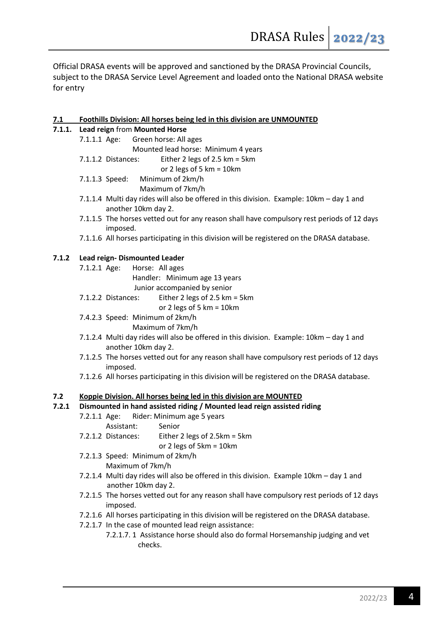Official DRASA events will be approved and sanctioned by the DRASA Provincial Councils, subject to the DRASA Service Level Agreement and loaded onto the National DRASA website for entry

# **7.1 Foothills Division: All horses being led in this division are UNMOUNTED**

# **7.1.1. Lead reign** from **Mounted Horse**

|       | 7.1.1.1 Age: | Green horse: All ages                                                                                           |
|-------|--------------|-----------------------------------------------------------------------------------------------------------------|
|       |              | Mounted lead horse: Minimum 4 years                                                                             |
|       |              | Either 2 legs of 2.5 km = 5km<br>7.1.1.2 Distances:                                                             |
|       |              | or 2 legs of 5 km = $10$ km                                                                                     |
|       |              | 7.1.1.3 Speed: Minimum of 2km/h                                                                                 |
|       |              | Maximum of 7km/h                                                                                                |
|       |              | 7.1.1.4 Multi day rides will also be offered in this division. Example: 10km - day 1 and<br>another 10km day 2. |
|       |              | 7.1.1.5 The horses vetted out for any reason shall have compulsory rest periods of 12 days<br>imposed.          |
|       |              | 7.1.1.6 All horses participating in this division will be registered on the DRASA database.                     |
| 7.1.2 |              | Lead reign- Dismounted Leader                                                                                   |
|       | 7.1.2.1 Age: | Horse: All ages                                                                                                 |
|       |              | Handler: Minimum age 13 years                                                                                   |
|       |              | Junior accompanied by senior                                                                                    |
|       |              | Either 2 legs of 2.5 km = 5km<br>7.1.2.2 Distances:                                                             |
|       |              | or 2 legs of 5 km = $10$ km                                                                                     |
|       |              | 7.4.2.3 Speed: Minimum of 2km/h                                                                                 |
|       |              | Maximum of 7km/h                                                                                                |
|       |              | 7.1.2.4 Multi day rides will also be offered in this division. Example: 10km - day 1 and                        |
|       |              | another 10km day 2.                                                                                             |
|       |              | 7.1.2.5 The horses vetted out for any reason shall have compulsory rest periods of 12 days                      |
|       |              | imposed.                                                                                                        |
|       |              | 7.1.2.6 All horses participating in this division will be registered on the DRASA database.                     |
| 7.2   |              | Koppie Division. All horses being led in this division are MOUNTED                                              |
| 7.2.1 |              | Dismounted in hand assisted riding / Mounted lead reign assisted riding                                         |
|       | 7.2.1.1 Age: | Rider: Minimum age 5 years                                                                                      |
|       |              | Senior<br>Assistant:                                                                                            |
|       |              | 7.2.1.2 Distances:<br>Either 2 legs of 2.5km = 5km                                                              |
|       |              | or 2 legs of 5km = 10km                                                                                         |
|       |              | 7.2.1.3 Speed: Minimum of 2km/h                                                                                 |
|       |              | Maximum of 7km/h                                                                                                |
|       |              | 7.2.1.4 Multi day rides will also be offered in this division. Example 10km - day 1 and                         |
|       |              | another 10km day 2.                                                                                             |
|       |              | 7.2.1.5 The horses vetted out for any reason shall have compulsory rest periods of 12 days                      |
|       |              | imposed.                                                                                                        |
|       |              |                                                                                                                 |
|       |              | 7.2.1.6 All horses participating in this division will be registered on the DRASA database.                     |
|       |              | 7.2.1.7 In the case of mounted lead reign assistance:                                                           |
|       |              | 7.2.1.7. 1 Assistance horse should also do formal Horsemanship judging and vet<br>checks.                       |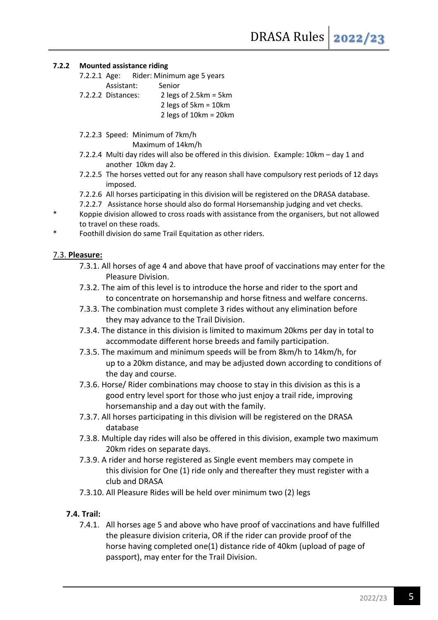#### **7.2.2 Mounted assistance riding**

- 7.2.2.1 Age: Rider: Minimum age 5 years Assistant: Senior
- 7.2.2.2 Distances: 2 legs of 2.5km = 5km 2 legs of 5km = 10km

2 legs of 10km = 20km

7.2.2.3 Speed: Minimum of 7km/h

Maximum of 14km/h

- 7.2.2.4 Multi day rides will also be offered in this division. Example: 10km day 1 and another 10km day 2.
- 7.2.2.5 The horses vetted out for any reason shall have compulsory rest periods of 12 days imposed.
- 7.2.2.6 All horses participating in this division will be registered on the DRASA database.
- 7.2.2.7 Assistance horse should also do formal Horsemanship judging and vet checks.
- \* Koppie division allowed to cross roads with assistance from the organisers, but not allowed to travel on these roads.
- Foothill division do same Trail Equitation as other riders.

# 7.3. **Pleasure:**

- 7.3.1. All horses of age 4 and above that have proof of vaccinations may enter for the Pleasure Division.
- 7.3.2. The aim of this level is to introduce the horse and rider to the sport and to concentrate on horsemanship and horse fitness and welfare concerns.
- 7.3.3. The combination must complete 3 rides without any elimination before they may advance to the Trail Division.
- 7.3.4. The distance in this division is limited to maximum 20kms per day in total to accommodate different horse breeds and family participation.
- 7.3.5. The maximum and minimum speeds will be from 8km/h to 14km/h, for up to a 20km distance, and may be adjusted down according to conditions of the day and course.
- 7.3.6. Horse/ Rider combinations may choose to stay in this division as this is a good entry level sport for those who just enjoy a trail ride, improving horsemanship and a day out with the family.
- 7.3.7. All horses participating in this division will be registered on the DRASA database
- 7.3.8. Multiple day rides will also be offered in this division, example two maximum 20km rides on separate days.
- 7.3.9. A rider and horse registered as Single event members may compete in this division for One (1) ride only and thereafter they must register with a club and DRASA
- 7.3.10. All Pleasure Rides will be held over minimum two (2) legs

# **7.4. Trail:**

7.4.1. All horses age 5 and above who have proof of vaccinations and have fulfilled the pleasure division criteria, OR if the rider can provide proof of the horse having completed one(1) distance ride of 40km (upload of page of passport), may enter for the Trail Division.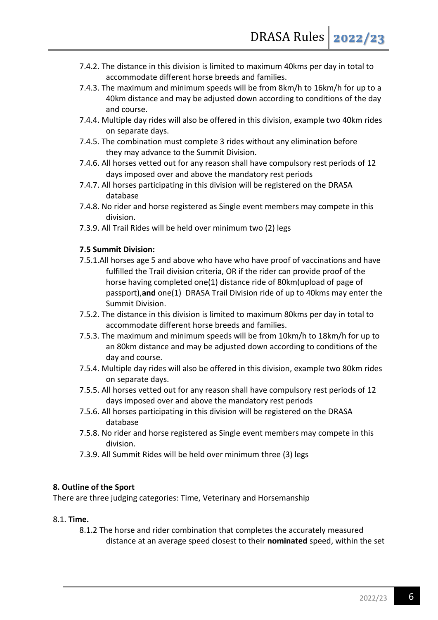- 7.4.2. The distance in this division is limited to maximum 40kms per day in total to accommodate different horse breeds and families.
- 7.4.3. The maximum and minimum speeds will be from 8km/h to 16km/h for up to a 40km distance and may be adjusted down according to conditions of the day and course.
- 7.4.4. Multiple day rides will also be offered in this division, example two 40km rides on separate days.
- 7.4.5. The combination must complete 3 rides without any elimination before they may advance to the Summit Division.
- 7.4.6. All horses vetted out for any reason shall have compulsory rest periods of 12 days imposed over and above the mandatory rest periods
- 7.4.7. All horses participating in this division will be registered on the DRASA database
- 7.4.8. No rider and horse registered as Single event members may compete in this division.
- 7.3.9. All Trail Rides will be held over minimum two (2) legs

#### **7.5 Summit Division:**

- 7.5.1.All horses age 5 and above who have who have proof of vaccinations and have fulfilled the Trail division criteria, OR if the rider can provide proof of the horse having completed one(1) distance ride of 80km(upload of page of passport),**and** one(1) DRASA Trail Division ride of up to 40kms may enter the Summit Division.
- 7.5.2. The distance in this division is limited to maximum 80kms per day in total to accommodate different horse breeds and families.
- 7.5.3. The maximum and minimum speeds will be from 10km/h to 18km/h for up to an 80km distance and may be adjusted down according to conditions of the day and course.
- 7.5.4. Multiple day rides will also be offered in this division, example two 80km rides on separate days.
- 7.5.5. All horses vetted out for any reason shall have compulsory rest periods of 12 days imposed over and above the mandatory rest periods
- 7.5.6. All horses participating in this division will be registered on the DRASA database
- 7.5.8. No rider and horse registered as Single event members may compete in this division.
- 7.3.9. All Summit Rides will be held over minimum three (3) legs

#### **8. Outline of the Sport**

There are three judging categories: Time, Veterinary and Horsemanship

# 8.1. **Time.**

8.1.2 The horse and rider combination that completes the accurately measured distance at an average speed closest to their **nominated** speed, within the set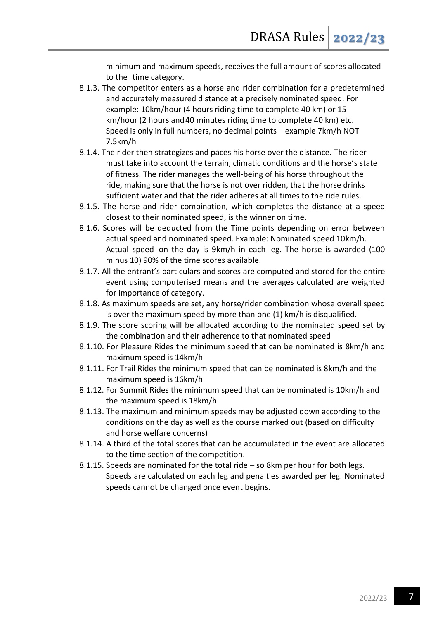minimum and maximum speeds, receives the full amount of scores allocated to the time category.

- 8.1.3. The competitor enters as a horse and rider combination for a predetermined and accurately measured distance at a precisely nominated speed. For example: 10km/hour (4 hours riding time to complete 40 km) or 15 km/hour (2 hours and40 minutes riding time to complete 40 km) etc. Speed is only in full numbers, no decimal points – example 7km/h NOT 7.5km/h
- 8.1.4. The rider then strategizes and paces his horse over the distance. The rider must take into account the terrain, climatic conditions and the horse's state of fitness. The rider manages the well-being of his horse throughout the ride, making sure that the horse is not over ridden, that the horse drinks sufficient water and that the rider adheres at all times to the ride rules.
- 8.1.5. The horse and rider combination, which completes the distance at a speed closest to their nominated speed, is the winner on time.
- 8.1.6. Scores will be deducted from the Time points depending on error between actual speed and nominated speed. Example: Nominated speed 10km/h. Actual speed on the day is 9km/h in each leg. The horse is awarded (100 minus 10) 90% of the time scores available.
- 8.1.7. All the entrant's particulars and scores are computed and stored for the entire event using computerised means and the averages calculated are weighted for importance of category.
- 8.1.8. As maximum speeds are set, any horse/rider combination whose overall speed is over the maximum speed by more than one (1) km/h is disqualified.
- 8.1.9. The score scoring will be allocated according to the nominated speed set by the combination and their adherence to that nominated speed
- 8.1.10. For Pleasure Rides the minimum speed that can be nominated is 8km/h and maximum speed is 14km/h
- 8.1.11. For Trail Rides the minimum speed that can be nominated is 8km/h and the maximum speed is 16km/h
- 8.1.12. For Summit Rides the minimum speed that can be nominated is 10km/h and the maximum speed is 18km/h
- 8.1.13. The maximum and minimum speeds may be adjusted down according to the conditions on the day as well as the course marked out (based on difficulty and horse welfare concerns)
- 8.1.14. A third of the total scores that can be accumulated in the event are allocated to the time section of the competition.
- 8.1.15. Speeds are nominated for the total ride so 8km per hour for both legs. Speeds are calculated on each leg and penalties awarded per leg. Nominated speeds cannot be changed once event begins.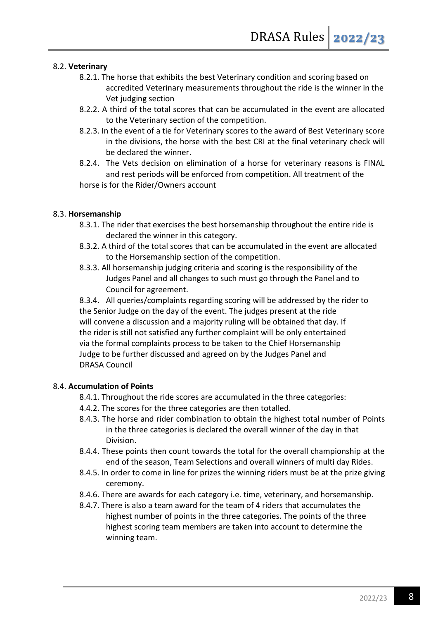# 8.2. **Veterinary**

- 8.2.1. The horse that exhibits the best Veterinary condition and scoring based on accredited Veterinary measurements throughout the ride is the winner in the Vet judging section
- 8.2.2. A third of the total scores that can be accumulated in the event are allocated to the Veterinary section of the competition.
- 8.2.3. In the event of a tie for Veterinary scores to the award of Best Veterinary score in the divisions, the horse with the best CRI at the final veterinary check will be declared the winner.
- 8.2.4. The Vets decision on elimination of a horse for veterinary reasons is FINAL and rest periods will be enforced from competition. All treatment of the horse is for the Rider/Owners account

#### 8.3. **Horsemanship**

- 8.3.1. The rider that exercises the best horsemanship throughout the entire ride is declared the winner in this category.
- 8.3.2. A third of the total scores that can be accumulated in the event are allocated to the Horsemanship section of the competition.
- 8.3.3. All horsemanship judging criteria and scoring is the responsibility of the Judges Panel and all changes to such must go through the Panel and to Council for agreement.

8.3.4. All queries/complaints regarding scoring will be addressed by the rider to the Senior Judge on the day of the event. The judges present at the ride will convene a discussion and a majority ruling will be obtained that day. If the rider is still not satisfied any further complaint will be only entertained via the formal complaints process to be taken to the Chief Horsemanship Judge to be further discussed and agreed on by the Judges Panel and DRASA Council

# 8.4. **Accumulation of Points**

- 8.4.1. Throughout the ride scores are accumulated in the three categories:
- 4.4.2. The scores for the three categories are then totalled.
- 8.4.3. The horse and rider combination to obtain the highest total number of Points in the three categories is declared the overall winner of the day in that Division.
- 8.4.4. These points then count towards the total for the overall championship at the end of the season, Team Selections and overall winners of multi day Rides.
- 8.4.5. In order to come in line for prizes the winning riders must be at the prize giving ceremony.
- 8.4.6. There are awards for each category i.e. time, veterinary, and horsemanship.
- 8.4.7. There is also a team award for the team of 4 riders that accumulates the highest number of points in the three categories. The points of the three highest scoring team members are taken into account to determine the winning team.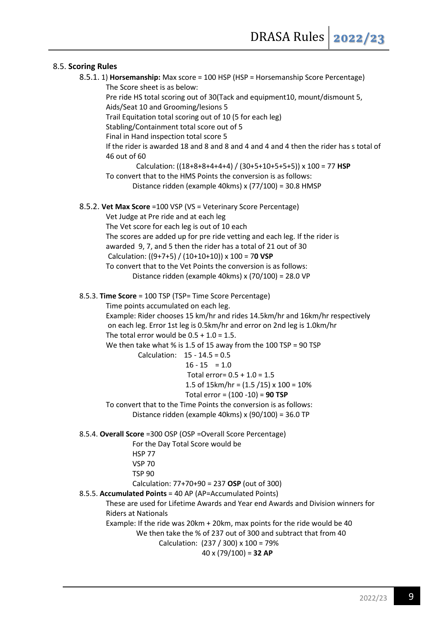# 8.5. **Scoring Rules**

```
8.5.1. 1) Horsemanship: Max score = 100 HSP (HSP = Horsemanship Score Percentage)
         The Score sheet is as below:
        Pre ride HS total scoring out of 30(Tack and equipment10, mount/dismount 5, 
        Aids/Seat 10 and Grooming/lesions 5
       Trail Equitation total scoring out of 10 (5 for each leg)
       Stabling/Containment total score out of 5
        Final in Hand inspection total score 5
        If the rider is awarded 18 and 8 and 8 and 4 and 4 and 4 then the rider has s total of 
        46 out of 60
                  Calculation: ((18+8+8+4+4+4) / (30+5+10+5+5+5)) x 100 = 77 HSP
        To convert that to the HMS Points the conversion is as follows:
                Distance ridden (example 40kms) x (77/100) = 30.8 HMSP 
8.5.2. Vet Max Score =100 VSP (VS = Veterinary Score Percentage)
       Vet Judge at Pre ride and at each leg
        The Vet score for each leg is out of 10 each
       The scores are added up for pre ride vetting and each leg. If the rider is 
        awarded 9, 7, and 5 then the rider has a total of 21 out of 30
         Calculation: ((9+7+5) / (10+10+10)) x 100 = 70 VSP
        To convert that to the Vet Points the conversion is as follows:
                Distance ridden (example 40kms) x (70/100) = 28.0 VP 
8.5.3. Time Score = 100 TSP (TSP= Time Score Percentage)
        Time points accumulated on each leg.
         Example: Rider chooses 15 km/hr and rides 14.5km/hr and 16km/hr respectively
         on each leg. Error 1st leg is 0.5km/hr and error on 2nd leg is 1.0km/hr
       The total error would be 0.5 + 1.0 = 1.5.
        We then take what % is 1.5 of 15 away from the 100 TSP = 90 TSP
                  Calculation: 15 - 14.5 = 0.5
                                16 - 15 = 1.0Total error= 0.5 + 1.0 = 1.51.5 of 15km/hr = (1.5 / 15) \times 100 = 10\% Total error = (100 -10) = 90 TSP
       To convert that to the Time Points the conversion is as follows:
                Distance ridden (example 40kms) x (90/100) = 36.0 TP 
8.5.4. Overall Score =300 OSP (OSP =Overall Score Percentage)
                For the Day Total Score would be 
                HSP 77
                VSP 70
               TSP 90
                Calculation: 77+70+90 = 237 OSP (out of 300)
8.5.5. Accumulated Points = 40 AP (AP=Accumulated Points)
        These are used for Lifetime Awards and Year end Awards and Division winners for 
        Riders at Nationals
        Example: If the ride was 20km + 20km, max points for the ride would be 40
                  We then take the % of 237 out of 300 and subtract that from 40
                         Calculation: (237 / 300) x 100 = 79%
                                      40 x (79/100) = 32 AP
```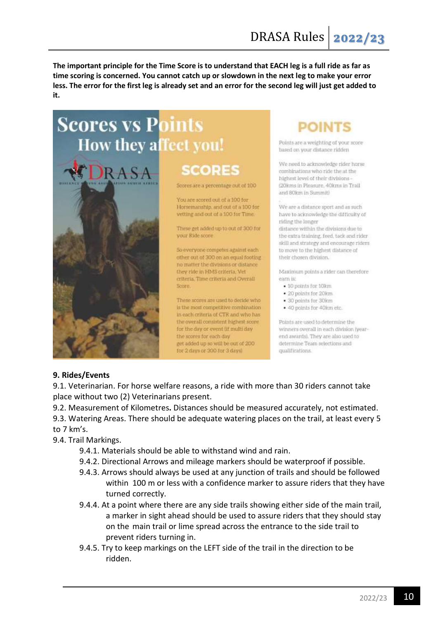**The important principle for the Time Score is to understand that EACH leg is a full ride as far as time scoring is concerned. You cannot catch up or slowdown in the next leg to make your error less. The error for the first leg is already set and an error for the second leg will just get added to it.**

# **Scores vs Points** How they affect you!



Scores are a percentage out of 100

**SCORES** 

You are scored out of a 100 for Horsemanship, and out of a 100 for vetting and out of a 100 for Time.

These get added up to out of 300 for vour Ride score

So everyone competer against each other out of 300 on an equal footing no matter the divisions or distance they ride in HMS criteria. Vet criteria, Time criteria and Overall Score.

These scores are used to decide who is the most competitive combination in each criteria of CTR and who has the overall consistent highest score for the day or event (if multi day the scores for each day get added up so will be out of 200 for 2 days or 300 for 3 days



Points are a weighting of your score based on your distance ridden

We need to acknowledge rider horse combinations who ride the at the highest level of their divisions -(20kms in Pleasure, 40kms in Trail and 80km in Summit)

We are a distance sport and as such have to acknowledge the difficulty of riding the longer distance within the divisions due to the extra training, feed, tack and rider skill and strategy and encourage riders to move to the highest distance of their chosen division.

Maximum points a rider can therefore earn is:

- $-10$  points for  $10km$
- · 20 points for 20km
- · 30 points for 30km
- · 40 points for 40km etc.

Points are used to determine the winners overall in each division (yearend awards). They are also used to determine Team selections and qualifications.

# **9. Rides/Events**

9.1. Veterinarian. For horse welfare reasons, a ride with more than 30 riders cannot take place without two (2) Veterinarians present.

9.2. Measurement of Kilometres**.** Distances should be measured accurately, not estimated.

9.3. Watering Areas. There should be adequate watering places on the trail, at least every 5 to 7 km's.

9.4. Trail Markings.

- 9.4.1. Materials should be able to withstand wind and rain.
- 9.4.2. Directional Arrows and mileage markers should be waterproof if possible.
- 9.4.3. Arrows should always be used at any junction of trails and should be followed within 100 m or less with a confidence marker to assure riders that they have turned correctly.
- 9.4.4. At a point where there are any side trails showing either side of the main trail, a marker in sight ahead should be used to assure riders that they should stay on the main trail or lime spread across the entrance to the side trail to prevent riders turning in.
- 9.4.5. Try to keep markings on the LEFT side of the trail in the direction to be ridden.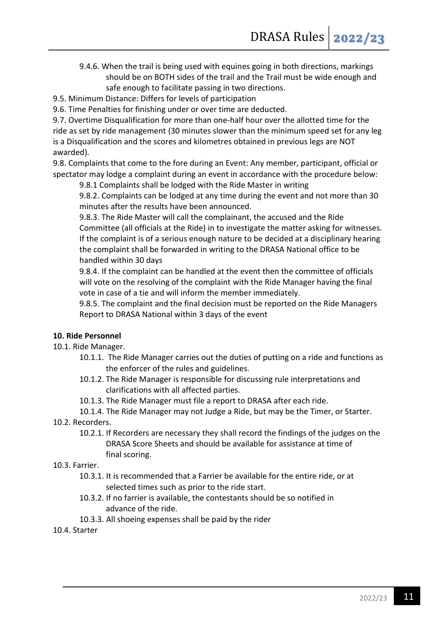9.4.6. When the trail is being used with equines going in both directions, markings should be on BOTH sides of the trail and the Trail must be wide enough and safe enough to facilitate passing in two directions.

9.5. Minimum Distance: Differs for levels of participation

9.6. Time Penalties for finishing under or over time are deducted.

9.7. Overtime Disqualification for more than one-half hour over the allotted time for the ride as set by ride management (30 minutes slower than the minimum speed set for any leg is a Disqualification and the scores and kilometres obtained in previous legs are NOT awarded).

9.8. Complaints that come to the fore during an Event: Any member, participant, official or spectator may lodge a complaint during an event in accordance with the procedure below:

9.8.1 Complaints shall be lodged with the Ride Master in writing

9.8.2. Complaints can be lodged at any time during the event and not more than 30 minutes after the results have been announced.

9.8.3. The Ride Master will call the complainant, the accused and the Ride Committee (all officials at the Ride) in to investigate the matter asking for witnesses. If the complaint is of a serious enough nature to be decided at a disciplinary hearing the complaint shall be forwarded in writing to the DRASA National office to be handled within 30 days

9.8.4. If the complaint can be handled at the event then the committee of officials will vote on the resolving of the complaint with the Ride Manager having the final vote in case of a tie and will inform the member immediately.

9.8.5. The complaint and the final decision must be reported on the Ride Managers Report to DRASA National within 3 days of the event

# **10. Ride Personnel**

- 10.1. Ride Manager.
	- 10.1.1. The Ride Manager carries out the duties of putting on a ride and functions as the enforcer of the rules and guidelines.
	- 10.1.2. The Ride Manager is responsible for discussing rule interpretations and clarifications with all affected parties.
	- 10.1.3. The Ride Manager must file a report to DRASA after each ride.

# 10.1.4. The Ride Manager may not Judge a Ride, but may be the Timer, or Starter.

- 10.2. Recorders.
	- 10.2.1. If Recorders are necessary they shall record the findings of the judges on the DRASA Score Sheets and should be available for assistance at time of final scoring.
- 10.3. Farrier.
	- 10.3.1. It is recommended that a Farrier be available for the entire ride, or at selected times such as prior to the ride start.
	- 10.3.2. If no farrier is available, the contestants should be so notified in advance of the ride.
	- 10.3.3. All shoeing expenses shall be paid by the rider

# 10.4. Starter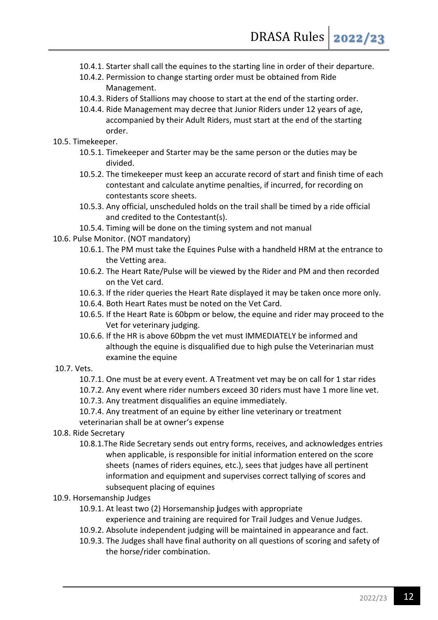- 10.4.1. Starter shall call the equines to the starting line in order of their departure.
- 10.4.2. Permission to change starting order must be obtained from Ride Management.
- 10.4.3. Riders of Stallions may choose to start at the end of the starting order.
- 10.4.4. Ride Management may decree that Junior Riders under 12 years of age, accompanied by their Adult Riders, must start at the end of the starting order.
- 10.5. Timekeeper.
	- 10.5.1. Timekeeper and Starter may be the same person or the duties may be divided.
	- 10.5.2. The timekeeper must keep an accurate record of start and finish time of each contestant and calculate anytime penalties, if incurred, for recording on contestants score sheets.
	- 10.5.3. Any official, unscheduled holds on the trail shall be timed by a ride official and credited to the Contestant(s).
	- 10.5.4. Timing will be done on the timing system and not manual
- 10.6. Pulse Monitor. (NOT mandatory)
	- 10.6.1. The PM must take the Equines Pulse with a handheld HRM at the entrance to the Vetting area.
	- 10.6.2. The Heart Rate/Pulse will be viewed by the Rider and PM and then recorded on the Vet card.
	- 10.6.3. If the rider queries the Heart Rate displayed it may be taken once more only.
	- 10.6.4. Both Heart Rates must be noted on the Vet Card.
	- 10.6.5. If the Heart Rate is 60bpm or below, the equine and rider may proceed to the Vet for veterinary judging.
	- 10.6.6. If the HR is above 60bpm the vet must IMMEDIATELY be informed and although the equine is disqualified due to high pulse the Veterinarian must examine the equine
- 10.7. Vets.
	- 10.7.1. One must be at every event. A Treatment vet may be on call for 1 star rides
	- 10.7.2. Any event where rider numbers exceed 30 riders must have 1 more line vet.
	- 10.7.3. Any treatment disqualifies an equine immediately.
	- 10.7.4. Any treatment of an equine by either line veterinary or treatment veterinarian shall be at owner's expense
- 10.8. Ride Secretary
	- 10.8.1.The Ride Secretary sends out entry forms, receives, and acknowledges entries when applicable, is responsible for initial information entered on the score sheets (names of riders equines, etc.), sees that judges have all pertinent information and equipment and supervises correct tallying of scores and subsequent placing of equines
- 10.9. Horsemanship Judges
	- 10.9.1. At least two (2) Horsemanship **j**udges with appropriate experience and training are required for Trail Judges and Venue Judges.
	- 10.9.2. Absolute independent judging will be maintained in appearance and fact.
	- 10.9.3. The Judges shall have final authority on all questions of scoring and safety of the horse/rider combination.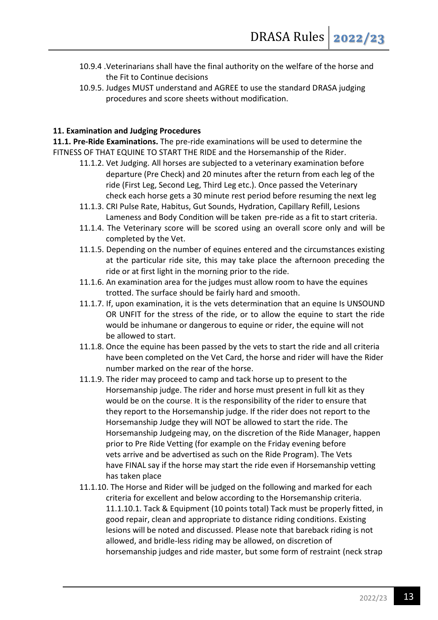- 10.9.4 .Veterinarians shall have the final authority on the welfare of the horse and the Fit to Continue decisions
- 10.9.5. Judges MUST understand and AGREE to use the standard DRASA judging procedures and score sheets without modification.

# **11. Examination and Judging Procedures**

**11.1. Pre-Ride Examinations.** The pre-ride examinations will be used to determine the FITNESS OF THAT EQUINE TO START THE RIDE and the Horsemanship of the Rider.

- 11.1.2. Vet Judging. All horses are subjected to a veterinary examination before departure (Pre Check) and 20 minutes after the return from each leg of the ride (First Leg, Second Leg, Third Leg etc.). Once passed the Veterinary check each horse gets a 30 minute rest period before resuming the next leg
- 11.1.3. CRI Pulse Rate, Habitus, Gut Sounds, Hydration, Capillary Refill, Lesions Lameness and Body Condition will be taken pre-ride as a fit to start criteria.
- 11.1.4. The Veterinary score will be scored using an overall score only and will be completed by the Vet.
- 11.1.5. Depending on the number of equines entered and the circumstances existing at the particular ride site, this may take place the afternoon preceding the ride or at first light in the morning prior to the ride.
- 11.1.6. An examination area for the judges must allow room to have the equines trotted. The surface should be fairly hard and smooth.
- 11.1.7. If, upon examination, it is the vets determination that an equine Is UNSOUND OR UNFIT for the stress of the ride, or to allow the equine to start the ride would be inhumane or dangerous to equine or rider, the equine will not be allowed to start.
- 11.1.8. Once the equine has been passed by the vets to start the ride and all criteria have been completed on the Vet Card, the horse and rider will have the Rider number marked on the rear of the horse.
- 11.1.9. The rider may proceed to camp and tack horse up to present to the Horsemanship judge. The rider and horse must present in full kit as they would be on the course. It is the responsibility of the rider to ensure that they report to the Horsemanship judge. If the rider does not report to the Horsemanship Judge they will NOT be allowed to start the ride. The Horsemanship Judgeing may, on the discretion of the Ride Manager, happen prior to Pre Ride Vetting (for example on the Friday evening before vets arrive and be advertised as such on the Ride Program). The Vets have FINAL say if the horse may start the ride even if Horsemanship vetting has taken place
- 11.1.10. The Horse and Rider will be judged on the following and marked for each criteria for excellent and below according to the Horsemanship criteria. 11.1.10.1. Tack & Equipment (10 points total) Tack must be properly fitted, in good repair, clean and appropriate to distance riding conditions. Existing lesions will be noted and discussed. Please note that bareback riding is not allowed, and bridle-less riding may be allowed, on discretion of horsemanship judges and ride master, but some form of restraint (neck strap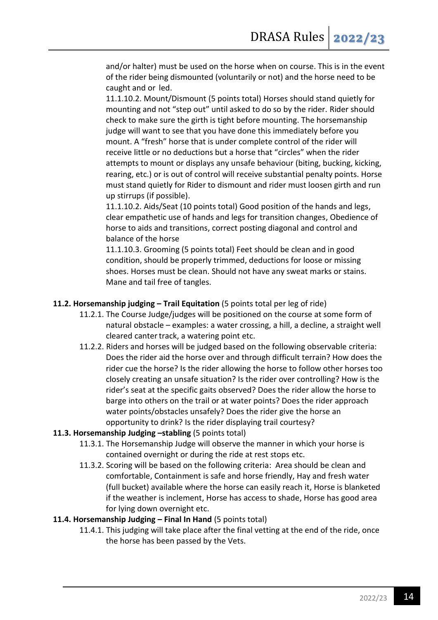and/or halter) must be used on the horse when on course. This is in the event of the rider being dismounted (voluntarily or not) and the horse need to be caught and or led.

11.1.10.2. Mount/Dismount (5 points total) Horses should stand quietly for mounting and not "step out" until asked to do so by the rider. Rider should check to make sure the girth is tight before mounting. The horsemanship judge will want to see that you have done this immediately before you mount. A "fresh" horse that is under complete control of the rider will receive little or no deductions but a horse that "circles" when the rider attempts to mount or displays any unsafe behaviour (biting, bucking, kicking, rearing, etc.) or is out of control will receive substantial penalty points. Horse must stand quietly for Rider to dismount and rider must loosen girth and run up stirrups (if possible).

11.1.10.2. Aids/Seat (10 points total) Good position of the hands and legs, clear empathetic use of hands and legs for transition changes, Obedience of horse to aids and transitions, correct posting diagonal and control and balance of the horse

11.1.10.3. Grooming (5 points total) Feet should be clean and in good condition, should be properly trimmed, deductions for loose or missing shoes. Horses must be clean. Should not have any sweat marks or stains. Mane and tail free of tangles.

# **11.2. Horsemanship judging – Trail Equitation** (5 points total per leg of ride)

- 11.2.1. The Course Judge/judges will be positioned on the course at some form of natural obstacle – examples: a water crossing, a hill, a decline, a straight well cleared canter track, a watering point etc.
- 11.2.2. Riders and horses will be judged based on the following observable criteria: Does the rider aid the horse over and through difficult terrain? How does the rider cue the horse? Is the rider allowing the horse to follow other horses too closely creating an unsafe situation? Is the rider over controlling? How is the rider's seat at the specific gaits observed? Does the rider allow the horse to barge into others on the trail or at water points? Does the rider approach water points/obstacles unsafely? Does the rider give the horse an opportunity to drink? Is the rider displaying trail courtesy?

# **11.3. Horsemanship Judging –stabling** (5 points total)

- 11.3.1. The Horsemanship Judge will observe the manner in which your horse is contained overnight or during the ride at rest stops etc.
- 11.3.2. Scoring will be based on the following criteria: Area should be clean and comfortable, Containment is safe and horse friendly, Hay and fresh water (full bucket) available where the horse can easily reach it, Horse is blanketed if the weather is inclement, Horse has access to shade, Horse has good area for lying down overnight etc.

# **11.4. Horsemanship Judging – Final In Hand** (5 points total)

11.4.1. This judging will take place after the final vetting at the end of the ride, once the horse has been passed by the Vets.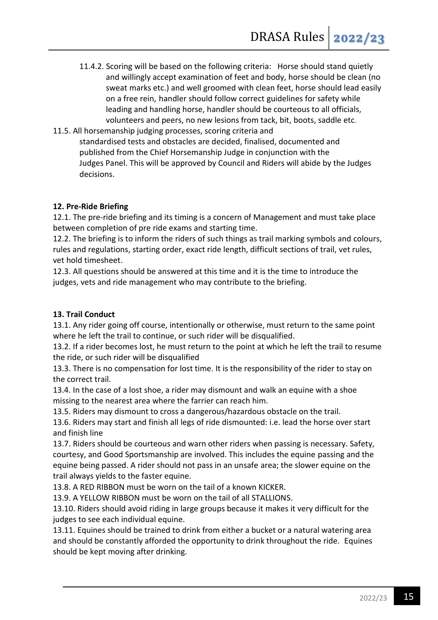- 11.4.2. Scoring will be based on the following criteria: Horse should stand quietly and willingly accept examination of feet and body, horse should be clean (no sweat marks etc.) and well groomed with clean feet, horse should lead easily on a free rein, handler should follow correct guidelines for safety while leading and handling horse, handler should be courteous to all officials, volunteers and peers, no new lesions from tack, bit, boots, saddle etc.
- 11.5. All horsemanship judging processes, scoring criteria and standardised tests and obstacles are decided, finalised, documented and published from the Chief Horsemanship Judge in conjunction with the Judges Panel. This will be approved by Council and Riders will abide by the Judges decisions.

# **12. Pre-Ride Briefing**

12.1. The pre-ride briefing and its timing is a concern of Management and must take place between completion of pre ride exams and starting time.

12.2. The briefing is to inform the riders of such things as trail marking symbols and colours, rules and regulations, starting order, exact ride length, difficult sections of trail, vet rules, vet hold timesheet.

12.3. All questions should be answered at this time and it is the time to introduce the judges, vets and ride management who may contribute to the briefing.

# **13. Trail Conduct**

13.1. Any rider going off course, intentionally or otherwise, must return to the same point where he left the trail to continue, or such rider will be disqualified.

13.2. If a rider becomes lost, he must return to the point at which he left the trail to resume the ride, or such rider will be disqualified

13.3. There is no compensation for lost time. It is the responsibility of the rider to stay on the correct trail.

13.4. In the case of a lost shoe, a rider may dismount and walk an equine with a shoe missing to the nearest area where the farrier can reach him.

13.5. Riders may dismount to cross a dangerous/hazardous obstacle on the trail.

13.6. Riders may start and finish all legs of ride dismounted: i.e. lead the horse over start and finish line

13.7. Riders should be courteous and warn other riders when passing is necessary. Safety, courtesy, and Good Sportsmanship are involved. This includes the equine passing and the equine being passed. A rider should not pass in an unsafe area; the slower equine on the trail always yields to the faster equine.

13.8. A RED RIBBON must be worn on the tail of a known KICKER.

13.9. A YELLOW RIBBON must be worn on the tail of all STALLIONS.

13.10. Riders should avoid riding in large groups because it makes it very difficult for the judges to see each individual equine.

13.11. Equines should be trained to drink from either a bucket or a natural watering area and should be constantly afforded the opportunity to drink throughout the ride. Equines should be kept moving after drinking.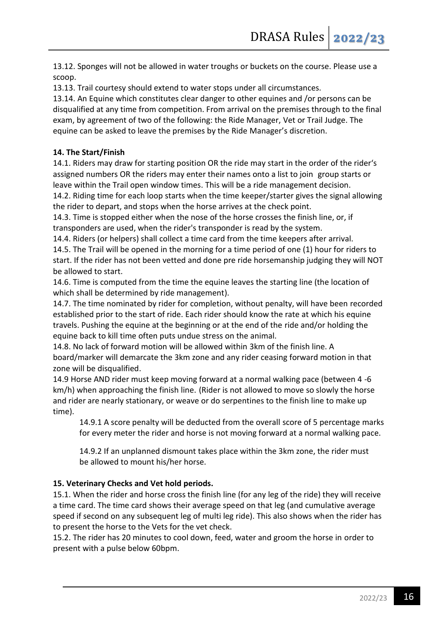13.12. Sponges will not be allowed in water troughs or buckets on the course. Please use a scoop.

13.13. Trail courtesy should extend to water stops under all circumstances.

13.14. An Equine which constitutes clear danger to other equines and /or persons can be disqualified at any time from competition. From arrival on the premises through to the final exam, by agreement of two of the following: the Ride Manager, Vet or Trail Judge. The equine can be asked to leave the premises by the Ride Manager's discretion.

# **14. The Start/Finish**

14.1. Riders may draw for starting position OR the ride may start in the order of the rider's assigned numbers OR the riders may enter their names onto a list to join group starts or leave within the Trail open window times. This will be a ride management decision.

14.2. Riding time for each loop starts when the time keeper/starter gives the signal allowing the rider to depart, and stops when the horse arrives at the check point.

14.3. Time is stopped either when the nose of the horse crosses the finish line, or, if transponders are used, when the rider's transponder is read by the system.

14.4. Riders (or helpers) shall collect a time card from the time keepers after arrival. 14.5. The Trail will be opened in the morning for a time period of one (1) hour for riders to

start. If the rider has not been vetted and done pre ride horsemanship judging they will NOT be allowed to start.

14.6. Time is computed from the time the equine leaves the starting line (the location of which shall be determined by ride management).

14.7. The time nominated by rider for completion, without penalty, will have been recorded established prior to the start of ride. Each rider should know the rate at which his equine travels. Pushing the equine at the beginning or at the end of the ride and/or holding the equine back to kill time often puts undue stress on the animal.

14.8. No lack of forward motion will be allowed within 3km of the finish line. A board/marker will demarcate the 3km zone and any rider ceasing forward motion in that zone will be disqualified.

14.9 Horse AND rider must keep moving forward at a normal walking pace (between 4 -6 km/h) when approaching the finish line. (Rider is not allowed to move so slowly the horse and rider are nearly stationary, or weave or do serpentines to the finish line to make up time).

14.9.1 A score penalty will be deducted from the overall score of 5 percentage marks for every meter the rider and horse is not moving forward at a normal walking pace.

14.9.2 If an unplanned dismount takes place within the 3km zone, the rider must be allowed to mount his/her horse.

# **15. Veterinary Checks and Vet hold periods.**

15.1. When the rider and horse cross the finish line (for any leg of the ride) they will receive a time card. The time card shows their average speed on that leg (and cumulative average speed if second on any subsequent leg of multi leg ride). This also shows when the rider has to present the horse to the Vets for the vet check.

15.2. The rider has 20 minutes to cool down, feed, water and groom the horse in order to present with a pulse below 60bpm.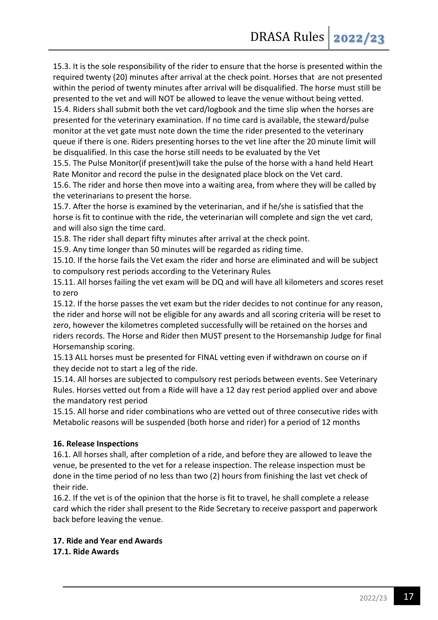15.3. It is the sole responsibility of the rider to ensure that the horse is presented within the required twenty (20) minutes after arrival at the check point. Horses that are not presented within the period of twenty minutes after arrival will be disqualified. The horse must still be presented to the vet and will NOT be allowed to leave the venue without being vetted.

15.4. Riders shall submit both the vet card/logbook and the time slip when the horses are presented for the veterinary examination. If no time card is available, the steward/pulse monitor at the vet gate must note down the time the rider presented to the veterinary queue if there is one. Riders presenting horses to the vet line after the 20 minute limit will be disqualified. In this case the horse still needs to be evaluated by the Vet

15.5. The Pulse Monitor(if present)will take the pulse of the horse with a hand held Heart Rate Monitor and record the pulse in the designated place block on the Vet card.

15.6. The rider and horse then move into a waiting area, from where they will be called by the veterinarians to present the horse.

15.7. After the horse is examined by the veterinarian, and if he/she is satisfied that the horse is fit to continue with the ride, the veterinarian will complete and sign the vet card, and will also sign the time card.

15.8. The rider shall depart fifty minutes after arrival at the check point.

15.9. Any time longer than 50 minutes will be regarded as riding time.

15.10. If the horse fails the Vet exam the rider and horse are eliminated and will be subject to compulsory rest periods according to the Veterinary Rules

15.11. All horses failing the vet exam will be DQ and will have all kilometers and scores reset to zero

15.12. If the horse passes the vet exam but the rider decides to not continue for any reason, the rider and horse will not be eligible for any awards and all scoring criteria will be reset to zero, however the kilometres completed successfully will be retained on the horses and riders records. The Horse and Rider then MUST present to the Horsemanship Judge for final Horsemanship scoring.

15.13 ALL horses must be presented for FINAL vetting even if withdrawn on course on if they decide not to start a leg of the ride.

15.14. All horses are subjected to compulsory rest periods between events. See Veterinary Rules. Horses vetted out from a Ride will have a 12 day rest period applied over and above the mandatory rest period

15.15. All horse and rider combinations who are vetted out of three consecutive rides with Metabolic reasons will be suspended (both horse and rider) for a period of 12 months

# **16. Release Inspections**

16.1. All horses shall, after completion of a ride, and before they are allowed to leave the venue, be presented to the vet for a release inspection. The release inspection must be done in the time period of no less than two (2) hours from finishing the last vet check of their ride.

16.2. If the vet is of the opinion that the horse is fit to travel, he shall complete a release card which the rider shall present to the Ride Secretary to receive passport and paperwork back before leaving the venue.

# **17. Ride and Year end Awards**

**17.1. Ride Awards**